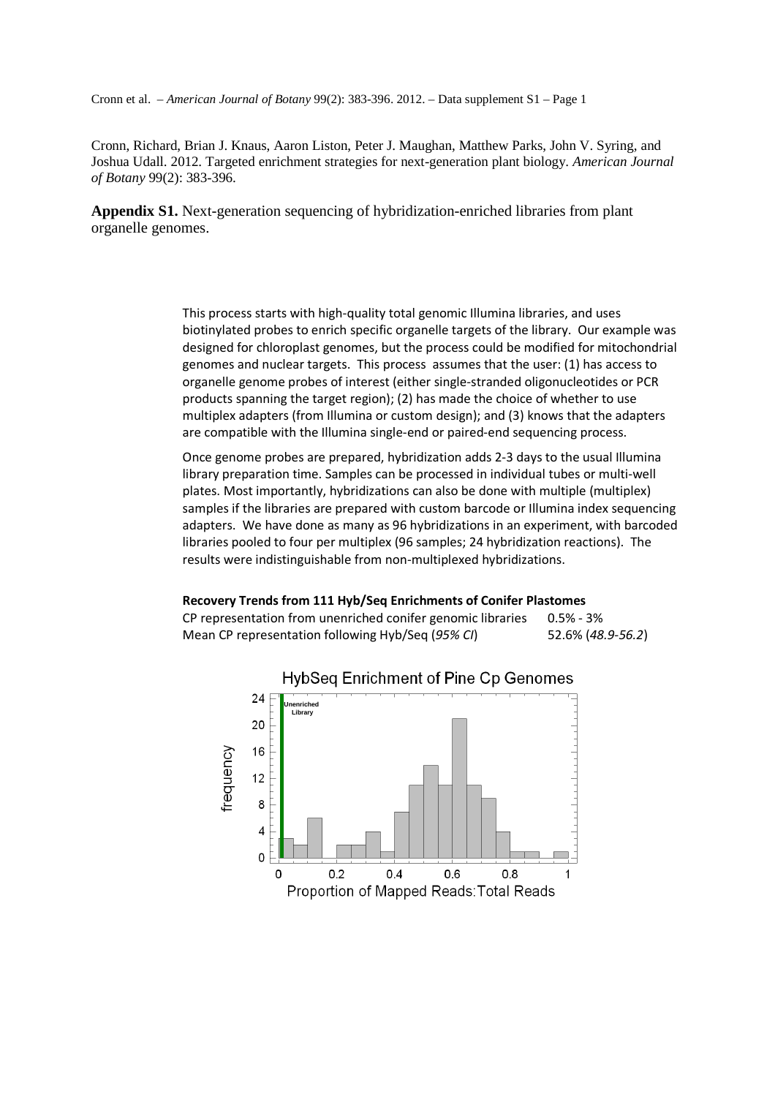Cronn et al. – *American Journal of Botany* 99(2): 383-396. 2012. – Data supplement S1 – Page 1

Cronn, Richard, Brian J. Knaus, Aaron Liston, Peter J. Maughan, Matthew Parks, John V. Syring, and Joshua Udall. 2012. Targeted enrichment strategies for next-generation plant biology. *American Journal of Botany* 99(2): 383-396.

**Appendix S1.** Next-generation sequencing of hybridization-enriched libraries from plant organelle genomes.

> This process starts with high-quality total genomic Illumina libraries, and uses biotinylated probes to enrich specific organelle targets of the library. Our example was designed for chloroplast genomes, but the process could be modified for mitochondrial genomes and nuclear targets. This process assumes that the user: (1) has access to organelle genome probes of interest (either single-stranded oligonucleotides or PCR products spanning the target region); (2) has made the choice of whether to use multiplex adapters (from Illumina or custom design); and (3) knows that the adapters are compatible with the Illumina single-end or paired-end sequencing process.

> Once genome probes are prepared, hybridization adds 2-3 days to the usual Illumina library preparation time. Samples can be processed in individual tubes or multi-well plates. Most importantly, hybridizations can also be done with multiple (multiplex) samples if the libraries are prepared with custom barcode or Illumina index sequencing adapters. We have done as many as 96 hybridizations in an experiment, with barcoded libraries pooled to four per multiplex (96 samples; 24 hybridization reactions). The results were indistinguishable from non-multiplexed hybridizations.

### **Recovery Trends from 111 Hyb/Seq Enrichments of Conifer Plastomes**

CP representation from unenriched conifer genomic libraries 0.5% - 3% Mean CP representation following Hyb/Seq (*95% CI*) 52.6% (*48.9-56.2*)



## **HybSeq**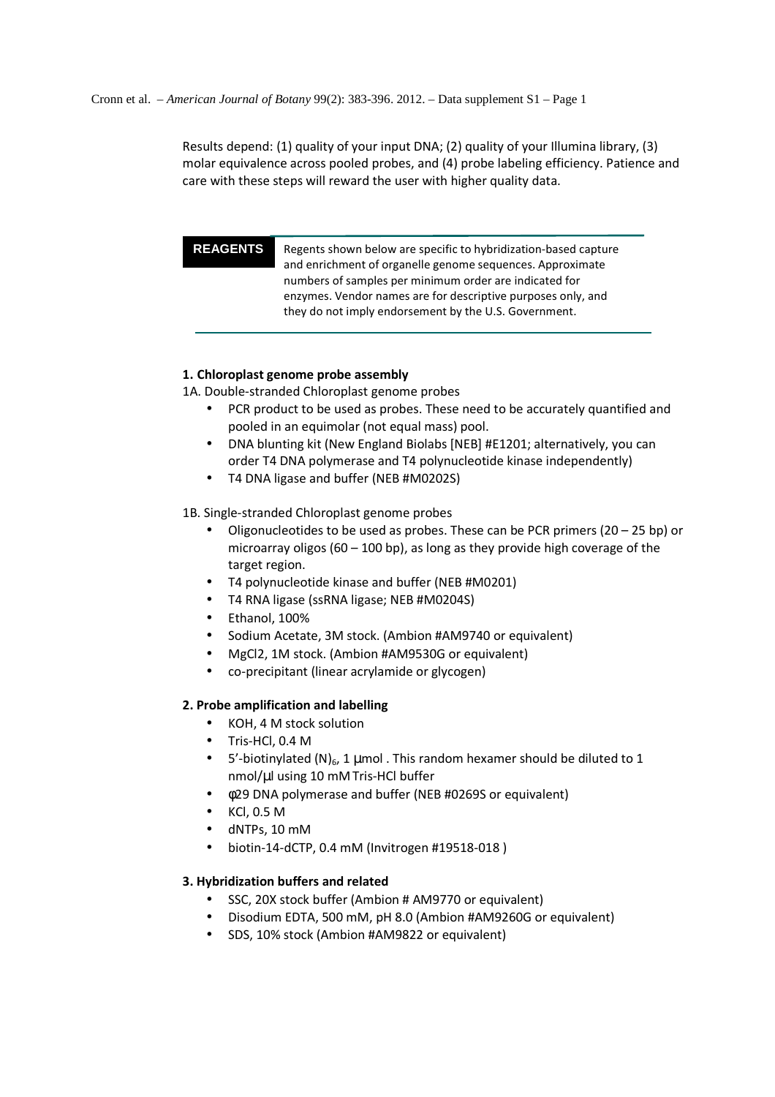Results depend: (1) quality of your input DNA; (2) quality of your Illumina library, (3) molar equivalence across pooled probes, and (4) probe labeling efficiency. Patience and care with these steps will reward the user with higher quality data.

**REAGENTS** Regents shown below are specific to hybridization-based capture and enrichment of organelle genome sequences. Approximate numbers of samples per minimum order are indicated for enzymes. Vendor names are for descriptive purposes only, and they do not imply endorsement by the U.S. Government.

## **1. Chloroplast genome probe assembly**

1A. Double-stranded Chloroplast genome probes

- PCR product to be used as probes. These need to be accurately quantified and pooled in an equimolar (not equal mass) pool.
- DNA blunting kit (New England Biolabs [NEB] #E1201; alternatively, you can order T4 DNA polymerase and T4 polynucleotide kinase independently)
- T4 DNA ligase and buffer (NEB #M0202S)

1B. Single-stranded Chloroplast genome probes

- Oligonucleotides to be used as probes. These can be PCR primers  $(20 25$  bp) or microarray oligos (60 – 100 bp), as long as they provide high coverage of the target region.
- T4 polynucleotide kinase and buffer (NEB #M0201)
- T4 RNA ligase (ssRNA ligase; NEB #M0204S)
- Ethanol, 100%
- Sodium Acetate, 3M stock. (Ambion #AM9740 or equivalent)
- MgCl2, 1M stock. (Ambion #AM9530G or equivalent)
- co-precipitant (linear acrylamide or glycogen)

## **2. Probe amplification and labelling**

- KOH, 4 M stock solution
- Tris-HCl, 0.4 M
- 5'-biotinylated (N)<sub>6</sub>, 1 µmol . This random hexamer should be diluted to 1 nmol/µl using 10 mMTris-HCl buffer
- φ29 DNA polymerase and buffer (NEB #0269S or equivalent)
- KCl, 0.5 M
- dNTPs, 10 mM
- biotin-14-dCTP, 0.4 mM (Invitrogen #19518-018 )

## **3. Hybridization buffers and related**

- SSC, 20X stock buffer (Ambion # AM9770 or equivalent)
- Disodium EDTA, 500 mM, pH 8.0 (Ambion #AM9260G or equivalent)
- SDS, 10% stock (Ambion #AM9822 or equivalent)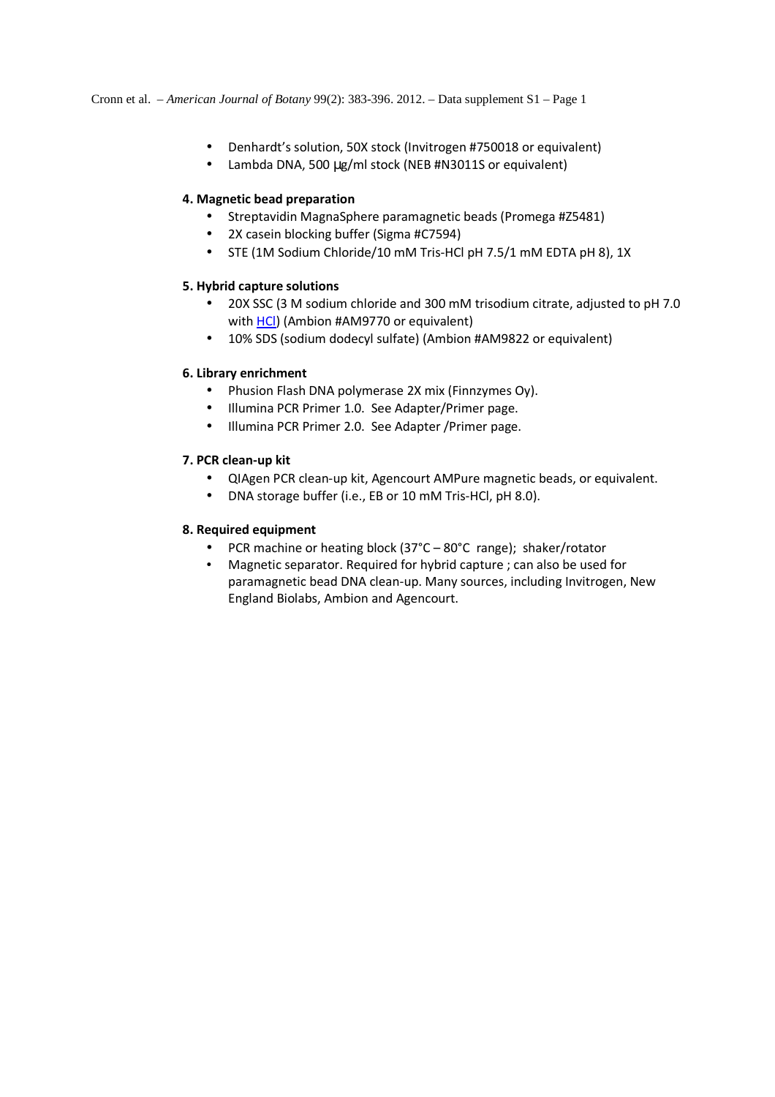- Denhardt's solution, 50X stock (Invitrogen #750018 or equivalent)
- Lambda DNA, 500 µg/ml stock (NEB #N3011S or equivalent)

## **4. Magnetic bead preparation**

- Streptavidin MagnaSphere paramagnetic beads (Promega #Z5481)
- 2X casein blocking buffer (Sigma #C7594)
- STE (1M Sodium Chloride/10 mM Tris-HCl pH 7.5/1 mM EDTA pH 8), 1X

## **5. Hybrid capture solutions**

- 20X SSC (3 M sodium chloride and 300 mM trisodium citrate, adjusted to pH 7.0 with HCl) (Ambion #AM9770 or equivalent)
- 10% SDS (sodium dodecyl sulfate) (Ambion #AM9822 or equivalent)

## **6. Library enrichment**

- Phusion Flash DNA polymerase 2X mix (Finnzymes Oy).
- Illumina PCR Primer 1.0. See Adapter/Primer page.
- Illumina PCR Primer 2.0. See Adapter /Primer page.

## **7. PCR clean-up kit**

- QIAgen PCR clean-up kit, Agencourt AMPure magnetic beads, or equivalent.
- DNA storage buffer (i.e., EB or 10 mM Tris-HCl, pH 8.0).

## **8. Required equipment**

- PCR machine or heating block (37°C 80°C range); shaker/rotator
- Magnetic separator. Required for hybrid capture ; can also be used for paramagnetic bead DNA clean-up. Many sources, including Invitrogen, New England Biolabs, Ambion and Agencourt.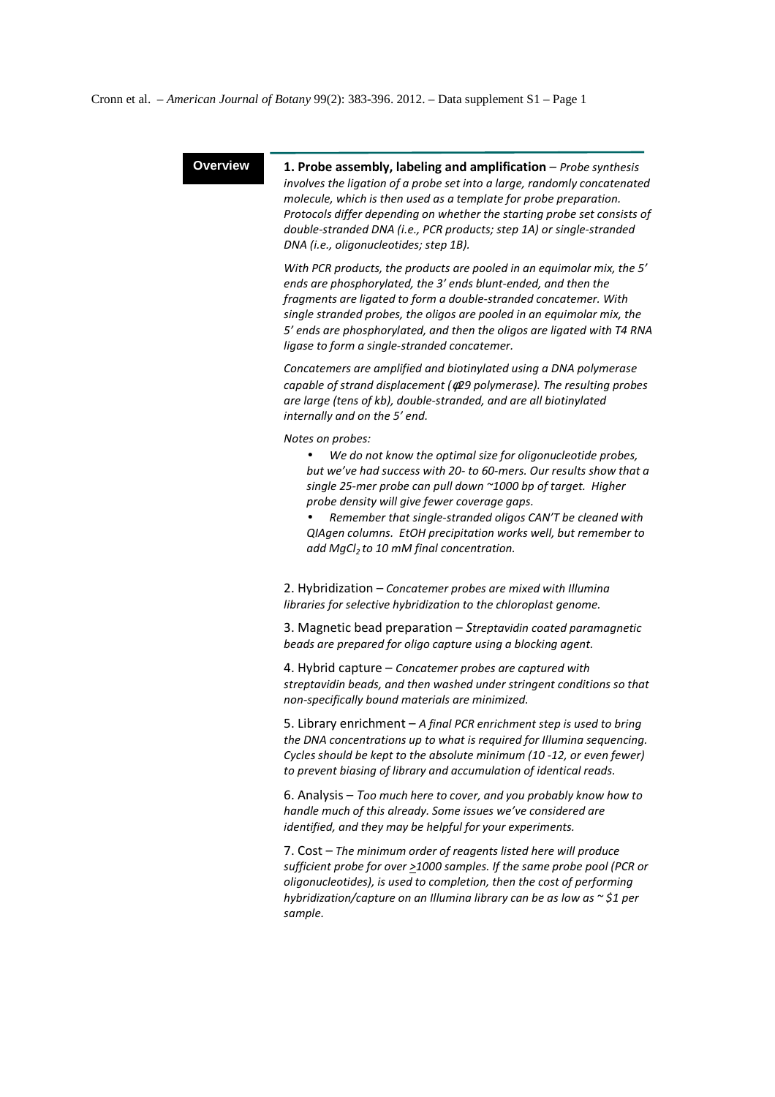Cronn et al. – *American Journal of Botany* 99(2): 383-396. 2012. – Data supplement S1 – Page 1

**Overview 1. Probe assembly, labeling and amplification – Probe synthesis** *involves the ligation of a probe set into a large, randomly concatenated molecule, which is then used as a template for probe preparation. Protocols differ depending on whether the starting probe set consists of double-stranded DNA (i.e., PCR products; step 1A) or single-stranded DNA (i.e., oligonucleotides; step 1B).* 

> *With PCR products, the products are pooled in an equimolar mix, the 5' ends are phosphorylated, the 3' ends blunt-ended, and then the fragments are ligated to form a double-stranded concatemer. With single stranded probes, the oligos are pooled in an equimolar mix, the 5' ends are phosphorylated, and then the oligos are ligated with T4 RNA ligase to form a single-stranded concatemer.*

*Concatemers are amplified and biotinylated using a DNA polymerase capable of strand displacement (*φ*29 polymerase). The resulting probes are large (tens of kb), double-stranded, and are all biotinylated internally and on the 5' end.* 

*Notes on probes:* 

• *We do not know the optimal size for oligonucleotide probes, but we've had success with 20- to 60-mers. Our results show that a single 25-mer probe can pull down ~1000 bp of target. Higher probe density will give fewer coverage gaps.* 

• *Remember that single-stranded oligos CAN'T be cleaned with QIAgen columns. EtOH precipitation works well, but remember to add MgCl2 to 10 mM final concentration.* 

2. Hybridization – *Concatemer probes are mixed with Illumina libraries for selective hybridization to the chloroplast genome.*

3. Magnetic bead preparation – *Streptavidin coated paramagnetic beads are prepared for oligo capture using a blocking agent.* 

4. Hybrid capture – *Concatemer probes are captured with streptavidin beads, and then washed under stringent conditions so that non-specifically bound materials are minimized.*

5. Library enrichment – *A final PCR enrichment step is used to bring the DNA concentrations up to what is required for Illumina sequencing. Cycles should be kept to the absolute minimum (10 -12, or even fewer) to prevent biasing of library and accumulation of identical reads.*

6. Analysis – *Too much here to cover, and you probably know how to handle much of this already. Some issues we've considered are identified, and they may be helpful for your experiments.* 

7. Cost – *The minimum order of reagents listed here will produce sufficient probe for over >1000 samples. If the same probe pool (PCR or oligonucleotides), is used to completion, then the cost of performing hybridization/capture on an Illumina library can be as low as ~ \$1 per sample.*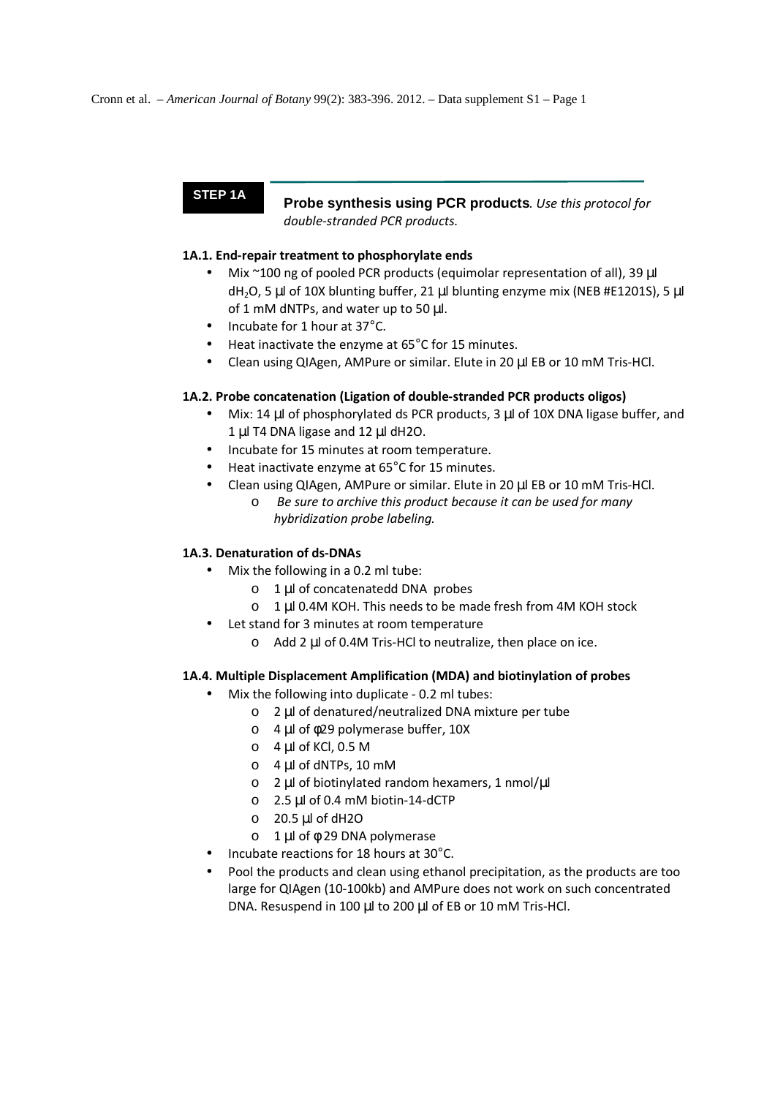**STEP 1A Probe synthesis using PCR products***. Use this protocol for double-stranded PCR products.* 

## **1A.1. End-repair treatment to phosphorylate ends**

- Mix ~100 ng of pooled PCR products (equimolar representation of all), 39 µl dH<sub>2</sub>O, 5 µl of 10X blunting buffer, 21 µl blunting enzyme mix (NEB #E1201S), 5 µl of 1 mM dNTPs, and water up to 50 µl.
- Incubate for 1 hour at 37°C.
- Heat inactivate the enzyme at 65°C for 15 minutes.
- Clean using QIAgen, AMPure or similar. Elute in 20 µl EB or 10 mM Tris-HCl.

## **1A.2. Probe concatenation (Ligation of double-stranded PCR products oligos)**

- Mix: 14  $\mu$  of phosphorylated ds PCR products, 3  $\mu$  of 10X DNA ligase buffer, and 1 µl T4 DNA ligase and 12 µl dH2O.
- Incubate for 15 minutes at room temperature.
- Heat inactivate enzyme at 65°C for 15 minutes.
- Clean using QIAgen, AMPure or similar, Elute in 20 ul EB or 10 mM Tris-HCl.
	- o *Be sure to archive this product because it can be used for many hybridization probe labeling.*

## **1A.3. Denaturation of ds-DNAs**

- Mix the following in a 0.2 ml tube:
	- o 1 µl of concatenatedd DNA probes
	- o 1 µl 0.4M KOH. This needs to be made fresh from 4M KOH stock
- Let stand for 3 minutes at room temperature
	- o Add 2 µl of 0.4M Tris-HCl to neutralize, then place on ice.

## **1A.4. Multiple Displacement Amplification (MDA) and biotinylation of probes**

- Mix the following into duplicate 0.2 ml tubes:
	- o 2 µl of denatured/neutralized DNA mixture per tube
	- o 4 µl of φ29 polymerase buffer, 10X
	- $O$  4 µl of KCl, 0.5 M
	- o 4 µl of dNTPs, 10 mM
	- o 2 µl of biotinylated random hexamers, 1 nmol/µl
	- o 2.5 µl of 0.4 mM biotin-14-dCTP
	- o 20.5 µl of dH2O
	- o 1 µl of φ 29 DNA polymerase
- Incubate reactions for 18 hours at 30°C.
- Pool the products and clean using ethanol precipitation, as the products are too large for QIAgen (10-100kb) and AMPure does not work on such concentrated DNA. Resuspend in 100 µl to 200 µl of EB or 10 mM Tris-HCl.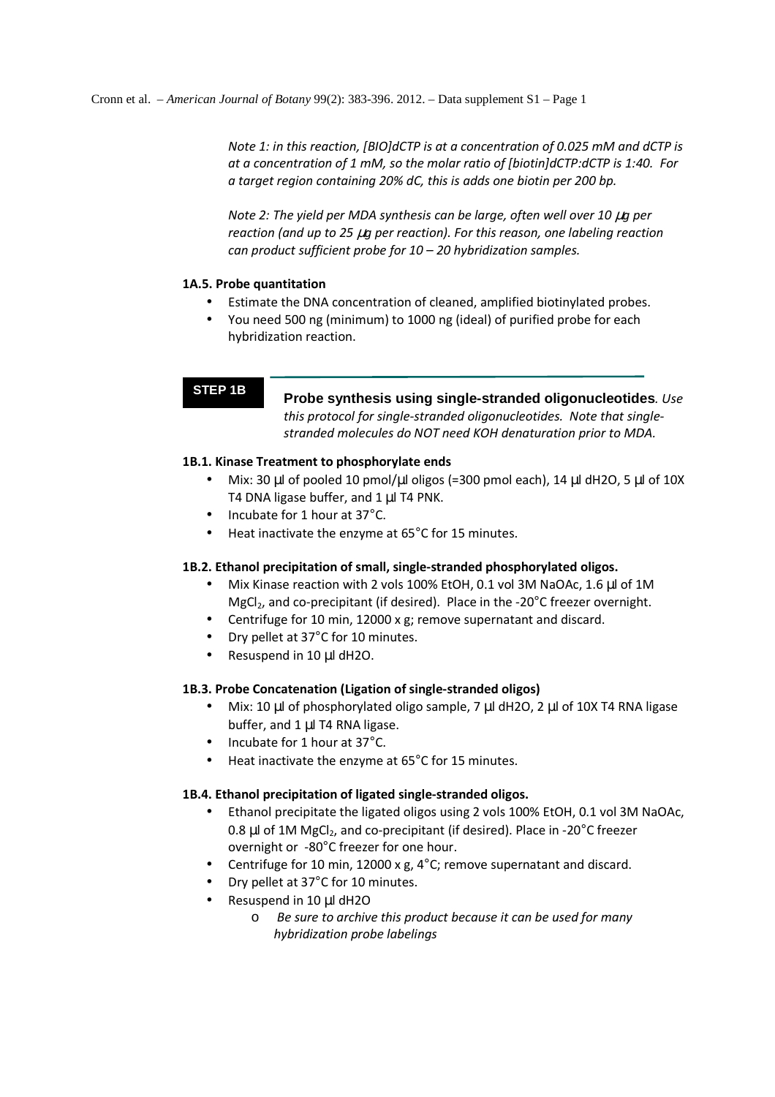*Note 1: in this reaction, [BIO]dCTP is at a concentration of 0.025 mM and dCTP is at a concentration of 1 mM, so the molar ratio of [biotin]dCTP:dCTP is 1:40. For a target region containing 20% dC, this is adds one biotin per 200 bp.* 

*Note 2: The yield per MDA synthesis can be large, often well over 10 µg per reaction (and up to 25* µ*g per reaction). For this reason, one labeling reaction can product sufficient probe for 10 – 20 hybridization samples.* 

### **1A.5. Probe quantitation**

- Estimate the DNA concentration of cleaned, amplified biotinylated probes.
- You need 500 ng (minimum) to 1000 ng (ideal) of purified probe for each hybridization reaction.

**STEP 1B Probe synthesis using single-stranded oligonucleotides***. Use this protocol for single-stranded oligonucleotides. Note that singlestranded molecules do NOT need KOH denaturation prior to MDA.* 

### **1B.1. Kinase Treatment to phosphorylate ends**

- Mix: 30  $\mu$ l of pooled 10 pmol/ $\mu$ l oligos (=300 pmol each), 14  $\mu$ l dH2O, 5  $\mu$ l of 10X T4 DNA ligase buffer, and 1 µl T4 PNK.
- Incubate for 1 hour at 37°C.
- Heat inactivate the enzyme at 65°C for 15 minutes.

### **1B.2. Ethanol precipitation of small, single-stranded phosphorylated oligos.**

- Mix Kinase reaction with 2 vols 100% EtOH, 0.1 vol 3M NaOAc, 1.6 µl of 1M MgCl<sub>2</sub>, and co-precipitant (if desired). Place in the -20 $^{\circ}$ C freezer overnight.
- Centrifuge for 10 min, 12000 x g; remove supernatant and discard.
- Dry pellet at 37°C for 10 minutes.
- Resuspend in 10 µl dH2O.

### **1B.3. Probe Concatenation (Ligation of single-stranded oligos)**

- Mix: 10 µl of phosphorylated oligo sample, 7 µl dH2O, 2 µl of 10X T4 RNA ligase buffer, and 1 µl T4 RNA ligase.
- Incubate for 1 hour at 37°C.
- Heat inactivate the enzyme at 65°C for 15 minutes.

### **1B.4. Ethanol precipitation of ligated single-stranded oligos.**

- Ethanol precipitate the ligated oligos using 2 vols 100% EtOH, 0.1 vol 3M NaOAc, 0.8  $\mu$ l of 1M MgCl<sub>2</sub>, and co-precipitant (if desired). Place in -20 $\degree$ C freezer overnight or -80°C freezer for one hour.
- Centrifuge for 10 min, 12000 x g, 4°C; remove supernatant and discard.
- Dry pellet at 37°C for 10 minutes.
- Resuspend in 10 ul dH2O
	- o *Be sure to archive this product because it can be used for many hybridization probe labelings*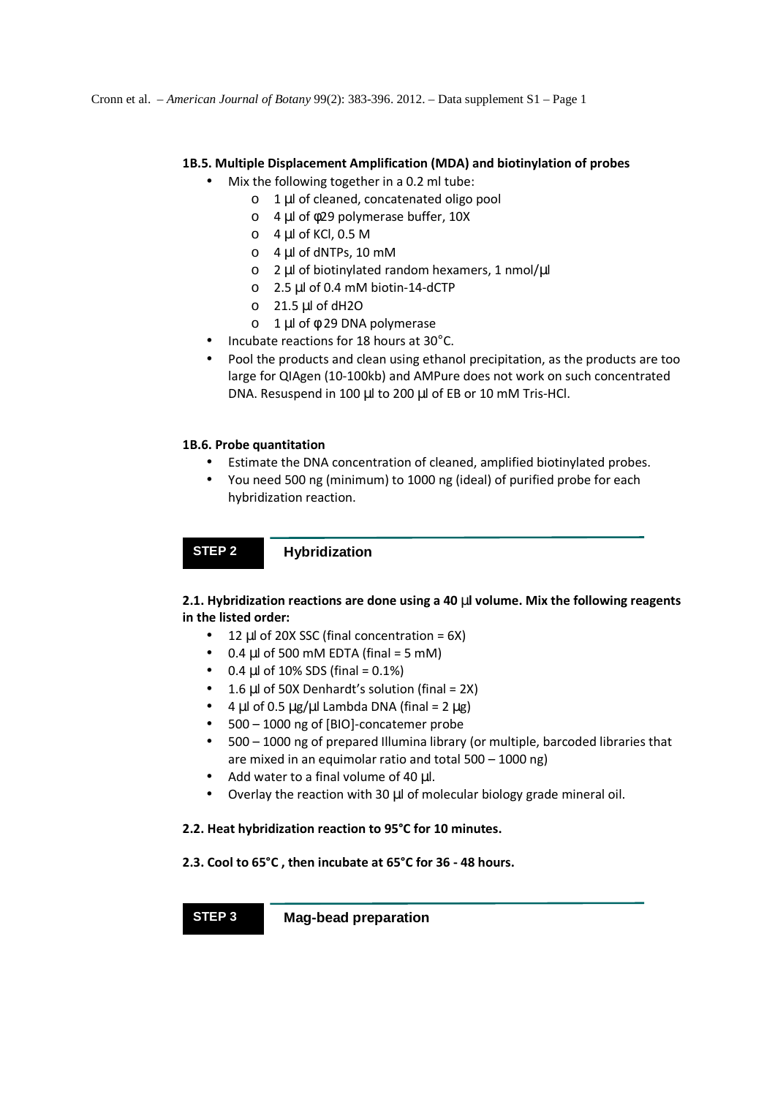## **1B.5. Multiple Displacement Amplification (MDA) and biotinylation of probes**

- Mix the following together in a 0.2 ml tube:
	- o 1 µl of cleaned, concatenated oligo pool
	- o 4 µl of φ29 polymerase buffer, 10X
	- $\circ$  4 µl of KCl, 0.5 M
	- o 4 µl of dNTPs, 10 mM
	- o 2 µl of biotinylated random hexamers, 1 nmol/µl
	- o 2.5 µl of 0.4 mM biotin-14-dCTP
	- $O$  21.5 µl of dH2O
	- o 1 µl of φ 29 DNA polymerase
- Incubate reactions for 18 hours at 30°C.
- Pool the products and clean using ethanol precipitation, as the products are too large for QIAgen (10-100kb) and AMPure does not work on such concentrated DNA. Resuspend in 100 µl to 200 µl of EB or 10 mM Tris-HCl.

## **1B.6. Probe quantitation**

- Estimate the DNA concentration of cleaned, amplified biotinylated probes.
- You need 500 ng (minimum) to 1000 ng (ideal) of purified probe for each hybridization reaction.

# **STEP 2 Hybridization**

## **2.1. Hybridization reactions are done using a 40** µ**l volume. Mix the following reagents in the listed order:**

- $\bullet$  12 µl of 20X SSC (final concentration = 6X)
- $\bullet$  0.4 µl of 500 mM EDTA (final = 5 mM)
- $0.4 \mu$  of 10% SDS (final =  $0.1\%$ )
- 1.6  $\mu$ l of 50X Denhardt's solution (final = 2X)
- 4 µl of 0.5  $\mu$ g/ $\mu$ l Lambda DNA (final = 2  $\mu$ g)
- 500 1000 ng of [BIO]-concatemer probe
- 500 1000 ng of prepared Illumina library (or multiple, barcoded libraries that are mixed in an equimolar ratio and total 500 – 1000 ng)
- Add water to a final volume of 40 µl.
- Overlay the reaction with 30 µl of molecular biology grade mineral oil.

### **2.2. Heat hybridization reaction to 95°C for 10 minutes.**

### **2.3. Cool to 65°C , then incubate at 65°C for 36 - 48 hours.**

**STEP 3 Mag-bead preparation**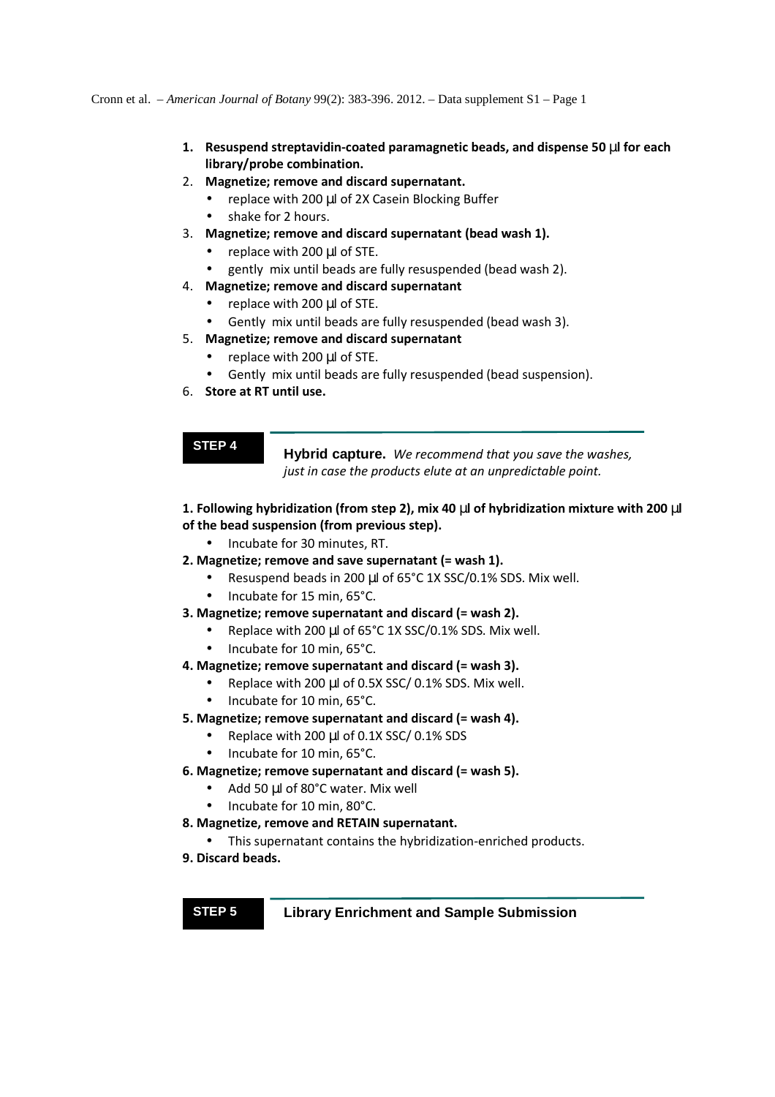Cronn et al. – *American Journal of Botany* 99(2): 383-396. 2012. – Data supplement S1 – Page 1

- **1. Resuspend streptavidin-coated paramagnetic beads, and dispense 50** µ**l for each library/probe combination.**
- 2. **Magnetize; remove and discard supernatant.**
	- replace with 200 µl of 2X Casein Blocking Buffer
	- shake for 2 hours.
- 3. **Magnetize; remove and discard supernatant (bead wash 1).**
	- replace with 200 µl of STE.
	- gently mix until beads are fully resuspended (bead wash 2).
- 4. **Magnetize; remove and discard supernatant**
	- replace with 200 µl of STE.
	- Gently mix until beads are fully resuspended (bead wash 3).
- 5. **Magnetize; remove and discard supernatant**
	- replace with 200 µl of STE.
		- Gently mix until beads are fully resuspended (bead suspension).
- 6. **Store at RT until use.**

**STEP 4 Hybrid capture.** *We recommend that you save the washes, just in case the products elute at an unpredictable point.*

## **1. Following hybridization (from step 2), mix 40** µ**l of hybridization mixture with 200** µ**l of the bead suspension (from previous step).**

- Incubate for 30 minutes, RT.
- **2. Magnetize; remove and save supernatant (= wash 1).** 
	- Resuspend beads in 200 µl of 65°C 1X SSC/0.1% SDS. Mix well.
	- Incubate for 15 min, 65°C.
- **3. Magnetize; remove supernatant and discard (= wash 2).** 
	- Replace with 200 µl of 65°C 1X SSC/0.1% SDS. Mix well.
	- Incubate for 10 min, 65°C.

### **4. Magnetize; remove supernatant and discard (= wash 3).**

- Replace with 200 µl of 0.5X SSC/ 0.1% SDS. Mix well.
- Incubate for 10 min, 65°C.
- **5. Magnetize; remove supernatant and discard (= wash 4).** 
	- Replace with 200 µl of 0.1X SSC/ 0.1% SDS
	- Incubate for 10 min, 65°C.

### **6. Magnetize; remove supernatant and discard (= wash 5).**

- Add 50 µl of 80°C water. Mix well
- Incubate for 10 min, 80°C.

### **8. Magnetize, remove and RETAIN supernatant.**

- This supernatant contains the hybridization-enriched products.
- **9. Discard beads.**

## **STEP 5 Library Enrichment and Sample Submission**